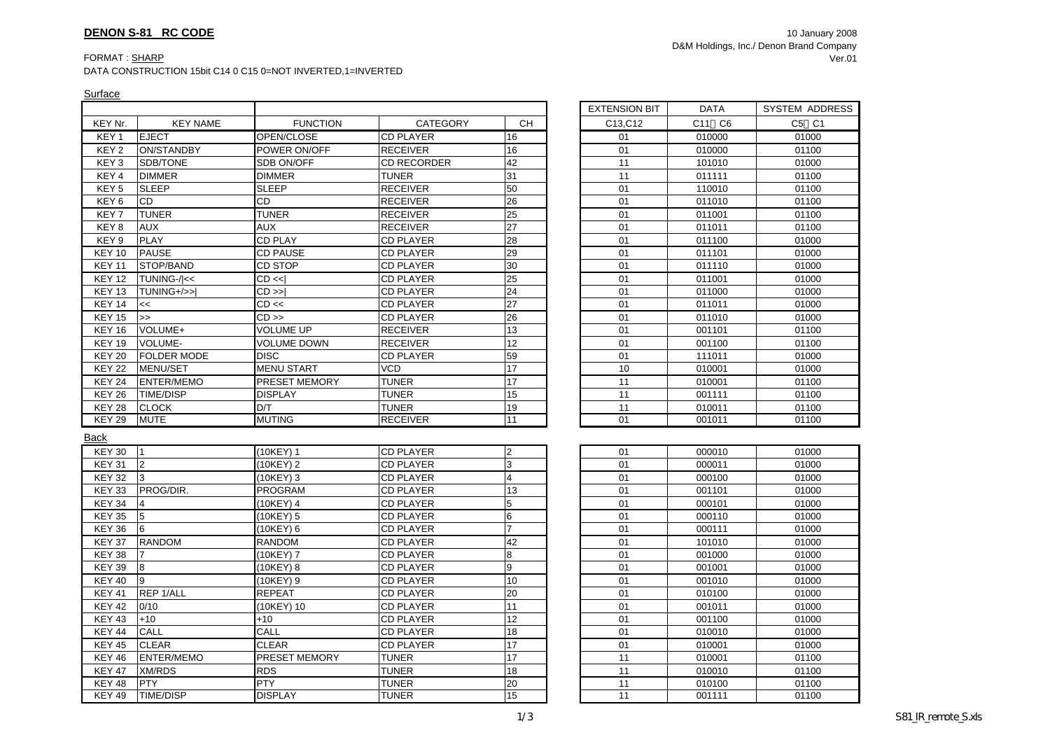## FORMAT : <u>SHARP</u>

DATA CONSTRUCTION 15bit C14 0 C15 0=NOT INVERTED,1=INVERTED

|                  |                    |                      |                    |                 | <b>EXTENSION BIT</b> | <b>DATA</b> | SYSTEM ADI |
|------------------|--------------------|----------------------|--------------------|-----------------|----------------------|-------------|------------|
| KEY Nr.          | <b>KEY NAME</b>    | <b>FUNCTION</b>      | <b>CATEGORY</b>    | <b>CH</b>       | C13, C12             | C11 C6      | C5 C1      |
| KEY 1            | <b>EJECT</b>       | OPEN/CLOSE           | <b>CD PLAYER</b>   | 16              | 01                   | 010000      | 01000      |
| KEY <sub>2</sub> | <b>ON/STANDBY</b>  | POWER ON/OFF         | <b>RECEIVER</b>    | 16              | 01                   | 010000      | 01100      |
| KEY <sub>3</sub> | SDB/TONE           | SDB ON/OFF           | <b>CD RECORDER</b> | 42              | 11                   | 101010      | 01000      |
| KEY 4            | <b>DIMMER</b>      | <b>DIMMER</b>        | <b>TUNER</b>       | 31              | 11                   | 011111      | 01100      |
| KEY <sub>5</sub> | <b>SLEEP</b>       | <b>SLEEP</b>         | <b>RECEIVER</b>    | 50              | 01                   | 110010      | 01100      |
| KEY <sub>6</sub> | CD                 | CD                   | <b>RECEIVER</b>    | 26              | 01                   | 011010      | 01100      |
| KEY <sub>7</sub> | <b>TUNER</b>       | <b>TUNER</b>         | <b>RECEIVER</b>    | 25              | 01                   | 011001      | 01100      |
| KEY 8            | <b>AUX</b>         | <b>AUX</b>           | <b>RECEIVER</b>    | 27              | 01                   | 011011      | 01100      |
| KEY <sub>9</sub> | <b>PLAY</b>        | <b>CD PLAY</b>       | <b>CD PLAYER</b>   | $\overline{28}$ | 01                   | 011100      | 01000      |
| <b>KEY 10</b>    | <b>PAUSE</b>       | <b>CD PAUSE</b>      | <b>CD PLAYER</b>   | 29              | 01                   | 011101      | 01000      |
| <b>KEY 11</b>    | STOP/BAND          | CD STOP              | <b>CD PLAYER</b>   | 30              | 01                   | 011110      | 01000      |
| <b>KEY 12</b>    | TUNING-/ <<        | CD <                 | <b>CD PLAYER</b>   | $\overline{25}$ | 01                   | 011001      | 01000      |
| <b>KEY 13</b>    | TUNING+/>>I        | $CD \gg$             | <b>CD PLAYER</b>   | 24              | 01                   | 011000      | 01000      |
| <b>KEY 14</b>    | <<                 | $CD \ll$             | <b>CD PLAYER</b>   | $\overline{27}$ | 01                   | 011011      | 01000      |
| <b>KEY 15</b>    | $\rightarrow$      | $CD \gg$             | <b>CD PLAYER</b>   | 26              | 01                   | 011010      | 01000      |
| <b>KEY 16</b>    | VOLUME+            | <b>VOLUME UP</b>     | <b>RECEIVER</b>    | 13              | 01                   | 001101      | 01100      |
| <b>KEY 19</b>    | VOLUME-            | <b>VOLUME DOWN</b>   | <b>RECEIVER</b>    | 12              | 01                   | 001100      | 01100      |
| <b>KEY 20</b>    | <b>FOLDER MODE</b> | <b>DISC</b>          | <b>CD PLAYER</b>   | 59              | 01                   | 111011      | 01000      |
| <b>KEY 22</b>    | MENU/SET           | <b>MENU START</b>    | <b>VCD</b>         | $\overline{17}$ | 10                   | 010001      | 01000      |
| <b>KEY 24</b>    | ENTER/MEMO         | PRESET MEMORY        | <b>TUNER</b>       | 17              | 11                   | 010001      | 01100      |
| <b>KEY 26</b>    | <b>TIME/DISP</b>   | <b>DISPLAY</b>       | <b>TUNER</b>       | 15              | 11                   | 001111      | 01100      |
| <b>KEY 28</b>    | <b>CLOCK</b>       | D/T                  | TUNER              | 19              | 11                   | 010011      | 01100      |
| <b>KEY 29</b>    | <b>MUTE</b>        | <b>MUTING</b>        | <b>RECEIVER</b>    | 11              | 01                   | 001011      | 01100      |
| <b>Back</b>      |                    |                      |                    |                 |                      |             |            |
| <b>KEY 30</b>    | $\mathsf{I}$       | $(10KEY)$ 1          | <b>CD PLAYER</b>   | 2               | 01                   | 000010      | 01000      |
| <b>KEY 31</b>    | $\overline{2}$     | (10KEY) 2            | <b>CD PLAYER</b>   | 3               | 01                   | 000011      | 01000      |
| <b>KEY 32</b>    | 3                  | (10KEY) 3            | <b>CD PLAYER</b>   | 4               | 01                   | 000100      | 01000      |
| <b>KEY 33</b>    | PROG/DIR.          | <b>PROGRAM</b>       | <b>CD PLAYER</b>   | 13              | 01                   | 001101      | 01000      |
| <b>KEY 34</b>    | $\overline{4}$     | (10KEY) 4            | <b>CD PLAYER</b>   | 5               | 01                   | 000101      | 01000      |
| <b>KEY 35</b>    | 5                  | (10KEY) 5            | <b>CD PLAYER</b>   | 6               | 01                   | 000110      | 01000      |
| <b>KEY 36</b>    | 6                  | (10KEY) 6            | <b>CD PLAYER</b>   |                 | 01                   | 000111      | 01000      |
| <b>KEY 37</b>    | <b>RANDOM</b>      | <b>RANDOM</b>        | <b>CD PLAYER</b>   | 42              | 01                   | 101010      | 01000      |
| KEY 38           |                    | (10KEY) 7            | <b>CD PLAYER</b>   | 8               | 01                   | 001000      | 01000      |
| <b>KEY 39</b>    | $\bf{8}$           | (10KEY) 8            | <b>CD PLAYER</b>   | 9               | 01                   | 001001      | 01000      |
| <b>KEY 40</b>    | 9                  | (10KEY) 9            | <b>CD PLAYER</b>   | 10              | 01                   | 001010      | 01000      |
| <b>KEY 41</b>    | REP 1/ALL          | <b>REPEAT</b>        | <b>CD PLAYER</b>   | 20              | 01                   | 010100      | 01000      |
| <b>KEY 42</b>    | 0/10               | (10KEY) 10           | <b>CD PLAYER</b>   | 11              | 01                   | 001011      | 01000      |
| <b>KEY 43</b>    | $+10$              | $+10$                | <b>CD PLAYER</b>   | 12              | 01                   | 001100      | 01000      |
| KEY 44           | CALL               | CALL                 | <b>CD PLAYER</b>   | 18              | 01                   | 010010      | 01000      |
| <b>KEY 45</b>    | <b>CLEAR</b>       | <b>CLEAR</b>         | <b>CD PLAYER</b>   | 17              | 01                   | 010001      | 01000      |
| <b>KEY 46</b>    | <b>ENTER/MEMO</b>  | <b>PRESET MEMORY</b> | <b>TUNER</b>       | 17              | 11                   | 010001      | 01100      |
| <b>KEY 47</b>    | <b>XM/RDS</b>      | <b>RDS</b>           | <b>TUNER</b>       | 18              | 11                   | 010010      | 01100      |
| <b>KEY 48</b>    | PTY                | <b>PTY</b>           | <b>TUNER</b>       | 20              | 11                   | 010100      | 01100      |
| KFY49            | TIME/DISP          | <b>DISPLAY</b>       | <b>TUNFR</b>       | 15              | 11                   | 001111      | 01100      |
|                  |                    |                      |                    |                 |                      |             |            |

| EXTENSION BIT | <b>DATA</b>                       | <b>SYSTEM ADDRESS</b> |
|---------------|-----------------------------------|-----------------------|
| C13, C12      | C <sub>6</sub><br>C <sub>11</sub> | C5 C1                 |
| 01            | 010000                            | 01000                 |
| 01            | 010000                            | 01100                 |
| 11            | 101010                            | 01000                 |
| 11            | 011111                            | 01100                 |
| 01            | 110010                            | 01100                 |
| 01            | 011010                            | 01100                 |
| 01            | 011001                            | 01100                 |
| 01            | 011011                            | 01100                 |
| 01            | 011100                            | 01000                 |
| 01            | 011101                            | 01000                 |
| 01            | 011110                            | 01000                 |
| 01            | 011001                            | 01000                 |
| 01            | 011000                            | 01000                 |
| 01            | 011011                            | 01000                 |
| 01            | 011010                            | 01000                 |
| 01            | 001101                            | 01100                 |
| 01            | 001100                            | 01100                 |
| 01            | 111011                            | 01000                 |
| 10            | 010001                            | 01000                 |
| 11            | 010001                            | 01100                 |
| 11            | 001111                            | 01100                 |

01100

| 01 | 000010 | 01000 |
|----|--------|-------|
| 01 | 000011 | 01000 |
| 01 | 000100 | 01000 |
| 01 | 001101 | 01000 |
| 01 | 000101 | 01000 |
| 01 | 000110 | 01000 |
| 01 | 000111 | 01000 |
| 01 | 101010 | 01000 |
| 01 | 001000 | 01000 |
| 01 | 001001 | 01000 |
| 01 | 001010 | 01000 |
| 01 | 010100 | 01000 |
| 01 | 001011 | 01000 |
| 01 | 001100 | 01000 |
| 01 | 010010 | 01000 |
| 01 | 010001 | 01000 |
| 11 | 010001 | 01100 |
| 11 | 010010 | 01100 |
| 11 | 010100 | 01100 |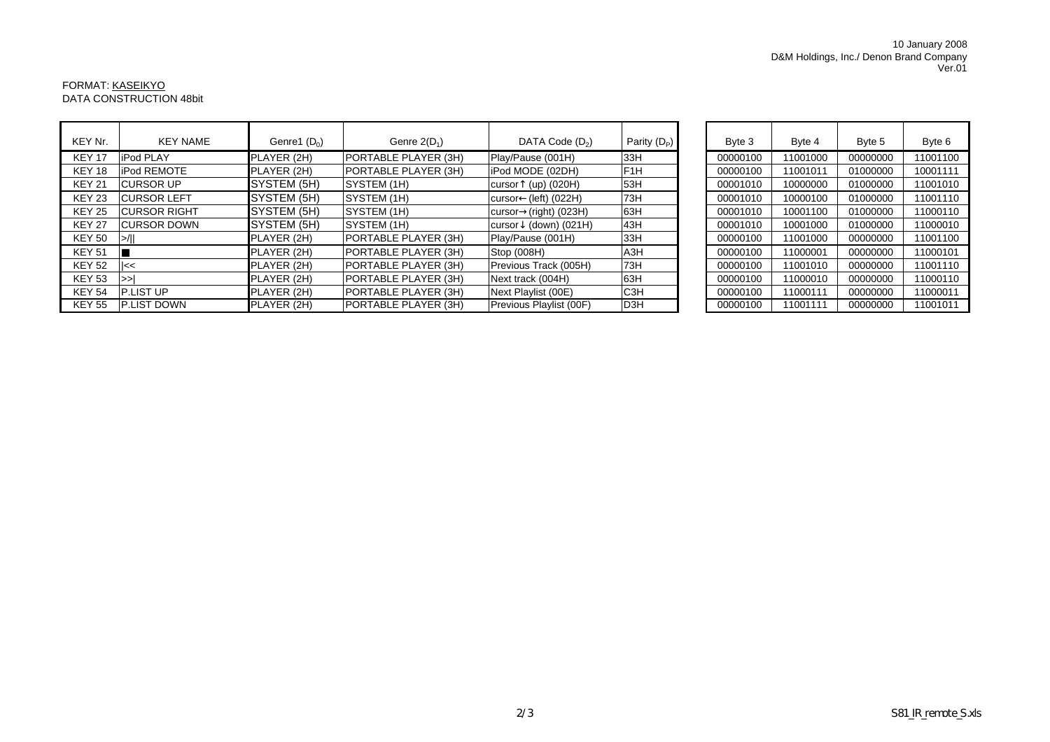## 10 January 2008 Ver.01 D&M Holdings, Inc./ Denon Brand Company

## FORMAT: <u>KASEIKYO</u> DATA CONSTRUCTION 48bit

| KEY Nr.       | <b>KEY NAME</b>     | Genre1 $(D_0)$ | Genre $2(D_1)$              | DATA Code $(D_2)$          | Parity $(D_P)$   | Byte 3   | Byte 4   | Byte 5   | Byte 6   |
|---------------|---------------------|----------------|-----------------------------|----------------------------|------------------|----------|----------|----------|----------|
| <b>KEY 17</b> | <b>iPod PLAY</b>    | PLAYER (2H)    | <b>PORTABLE PLAYER (3H)</b> | Play/Pause (001H)          | 33H              | 00000100 | 11001000 | 00000000 | 11001100 |
| <b>KEY 18</b> | <b>iPod REMOTE</b>  | PLAYER (2H)    | PORTABLE PLAYER (3H)        | iPod MODE (02DH)           | F <sub>1</sub> H | 00000100 | 11001011 | 01000000 | 10001111 |
| <b>KEY 21</b> | <b>CURSOR UP</b>    | SYSTEM (5H)    | SYSTEM (1H)                 | $(up)$ (020H)<br>cursor    | 53H              | 00001010 | 10000000 | 01000000 | 11001010 |
| <b>KEY 23</b> | <b>CURSOR LEFT</b>  | SYSTEM (5H)    | SYSTEM (1H)                 | (left) (022H)<br>cursor    | 73H              | 00001010 | 10000100 | 01000000 | 11001110 |
| <b>KEY 25</b> | <b>CURSOR RIGHT</b> | SYSTEM (5H)    | SYSTEM (1H)                 | $(right)$ (023H)<br>cursor | 63H              | 00001010 | 10001100 | 01000000 | 11000110 |
| <b>KEY 27</b> | <b>CURSOR DOWN</b>  | SYSTEM (5H)    | SYSTEM (1H)                 | (down) (021H)<br>cursor    | 43H              | 00001010 | 10001000 | 01000000 | 11000010 |
| KEY 50        | $\geq$ / $\geq$     | PLAYER (2H)    | PORTABLE PLAYER (3H)        | Play/Pause (001H)          | 33H              | 00000100 | 11001000 | 00000000 | 11001100 |
| <b>KEY 51</b> |                     | PLAYER (2H)    | PORTABLE PLAYER (3H)        | Stop (008H)                | A <sub>3</sub> H | 00000100 | 11000001 | 00000000 | 11000101 |
| <b>KEY 52</b> | Il<<                | PLAYER (2H)    | PORTABLE PLAYER (3H)        | Previous Track (005H)      | 73H              | 00000100 | 11001010 | 00000000 | 11001110 |
| <b>KEY 53</b> | $\gt$               | PLAYER (2H)    | <b>PORTABLE PLAYER (3H)</b> | Next track (004H)          | 63H              | 00000100 | 11000010 | 00000000 | 11000110 |
| <b>KEY 54</b> | <b>P.LIST UP</b>    | PLAYER (2H)    | PORTABLE PLAYER (3H)        | Next Playlist (00E)        | C <sub>3</sub> H | 00000100 | 11000111 | 00000000 | 11000011 |
| <b>KEY 55</b> | <b>P.LIST DOWN</b>  | PLAYER (2H)    | PORTABLE PLAYER (3H)        | Previous Playlist (00F)    | D <sub>3</sub> H | 00000100 | 11001111 | 00000000 | 11001011 |

| Byte 3   | Byte 4   | Byte 5   | Byte 6   |  |
|----------|----------|----------|----------|--|
| 00000100 | 11001000 | 00000000 | 11001100 |  |
| 00000100 | 11001011 | 01000000 | 10001111 |  |
| 00001010 | 10000000 | 01000000 | 11001010 |  |
| 00001010 | 10000100 | 01000000 | 11001110 |  |
| 00001010 | 10001100 | 01000000 | 11000110 |  |
| 00001010 | 10001000 | 01000000 | 11000010 |  |
| 00000100 | 11001000 | 00000000 | 11001100 |  |
| 00000100 | 11000001 | 00000000 | 11000101 |  |
| 00000100 | 11001010 | 00000000 | 11001110 |  |
| 00000100 | 11000010 | 00000000 | 11000110 |  |
| 00000100 | 11000111 | 00000000 | 11000011 |  |
| 00000100 | 11001111 | 00000000 | 11001011 |  |